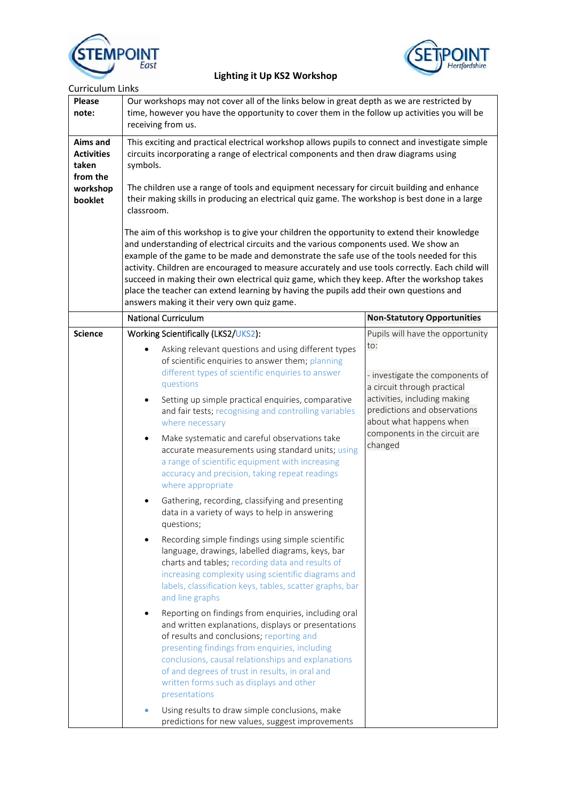



| <b>Curriculum Links</b>                                                          |                                                                                                                                                                                                                                                                                                                                                                                                                                                                                                                                                                                                                                                                                                                                                                                                                                                                                                                                                                                                                                                                                                                                                                                                      |                                                                                                                                                                                                                                                  |  |  |
|----------------------------------------------------------------------------------|------------------------------------------------------------------------------------------------------------------------------------------------------------------------------------------------------------------------------------------------------------------------------------------------------------------------------------------------------------------------------------------------------------------------------------------------------------------------------------------------------------------------------------------------------------------------------------------------------------------------------------------------------------------------------------------------------------------------------------------------------------------------------------------------------------------------------------------------------------------------------------------------------------------------------------------------------------------------------------------------------------------------------------------------------------------------------------------------------------------------------------------------------------------------------------------------------|--------------------------------------------------------------------------------------------------------------------------------------------------------------------------------------------------------------------------------------------------|--|--|
| <b>Please</b><br>note:                                                           | Our workshops may not cover all of the links below in great depth as we are restricted by<br>time, however you have the opportunity to cover them in the follow up activities you will be<br>receiving from us.<br>This exciting and practical electrical workshop allows pupils to connect and investigate simple<br>circuits incorporating a range of electrical components and then draw diagrams using<br>symbols.<br>The children use a range of tools and equipment necessary for circuit building and enhance<br>their making skills in producing an electrical quiz game. The workshop is best done in a large<br>classroom.<br>The aim of this workshop is to give your children the opportunity to extend their knowledge                                                                                                                                                                                                                                                                                                                                                                                                                                                                  |                                                                                                                                                                                                                                                  |  |  |
| <b>Aims and</b><br><b>Activities</b><br>taken<br>from the<br>workshop<br>booklet |                                                                                                                                                                                                                                                                                                                                                                                                                                                                                                                                                                                                                                                                                                                                                                                                                                                                                                                                                                                                                                                                                                                                                                                                      |                                                                                                                                                                                                                                                  |  |  |
|                                                                                  | and understanding of electrical circuits and the various components used. We show an<br>example of the game to be made and demonstrate the safe use of the tools needed for this<br>activity. Children are encouraged to measure accurately and use tools correctly. Each child will<br>succeed in making their own electrical quiz game, which they keep. After the workshop takes<br>place the teacher can extend learning by having the pupils add their own questions and<br>answers making it their very own quiz game.                                                                                                                                                                                                                                                                                                                                                                                                                                                                                                                                                                                                                                                                         |                                                                                                                                                                                                                                                  |  |  |
|                                                                                  | <b>National Curriculum</b>                                                                                                                                                                                                                                                                                                                                                                                                                                                                                                                                                                                                                                                                                                                                                                                                                                                                                                                                                                                                                                                                                                                                                                           | <b>Non-Statutory Opportunities</b>                                                                                                                                                                                                               |  |  |
| <b>Science</b>                                                                   | Working Scientifically (LKS2/UKS2):<br>Asking relevant questions and using different types<br>of scientific enquiries to answer them; planning<br>different types of scientific enquiries to answer<br>questions<br>Setting up simple practical enquiries, comparative<br>$\bullet$<br>and fair tests; recognising and controlling variables<br>where necessary<br>Make systematic and careful observations take<br>$\bullet$<br>accurate measurements using standard units; using<br>a range of scientific equipment with increasing<br>accuracy and precision, taking repeat readings<br>where appropriate<br>Gathering, recording, classifying and presenting<br>٠<br>data in a variety of ways to help in answering<br>questions;<br>Recording simple findings using simple scientific<br>language, drawings, labelled diagrams, keys, bar<br>charts and tables; recording data and results of<br>increasing complexity using scientific diagrams and<br>labels, classification keys, tables, scatter graphs, bar<br>and line graphs<br>Reporting on findings from enquiries, including oral<br>and written explanations, displays or presentations<br>of results and conclusions; reporting and | Pupils will have the opportunity<br>to:<br>- investigate the components of<br>a circuit through practical<br>activities, including making<br>predictions and observations<br>about what happens when<br>components in the circuit are<br>changed |  |  |
|                                                                                  | presenting findings from enquiries, including<br>conclusions, causal relationships and explanations<br>of and degrees of trust in results, in oral and<br>written forms such as displays and other<br>presentations<br>Using results to draw simple conclusions, make<br>predictions for new values, suggest improvements                                                                                                                                                                                                                                                                                                                                                                                                                                                                                                                                                                                                                                                                                                                                                                                                                                                                            |                                                                                                                                                                                                                                                  |  |  |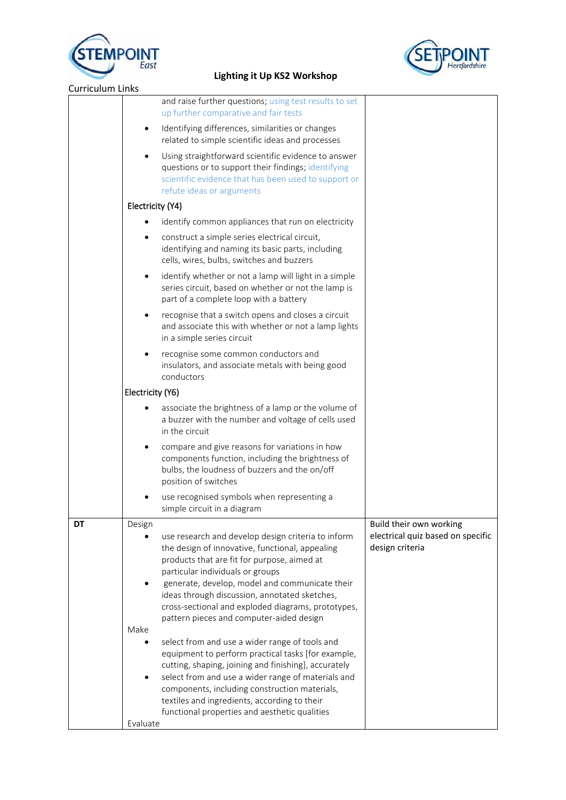



| <b>Curriculum Links</b> |                                                                                                                                                                                                                                                                                                                                                                                                                                                                                                                                                                                                                                                                                        |                                                                                 |
|-------------------------|----------------------------------------------------------------------------------------------------------------------------------------------------------------------------------------------------------------------------------------------------------------------------------------------------------------------------------------------------------------------------------------------------------------------------------------------------------------------------------------------------------------------------------------------------------------------------------------------------------------------------------------------------------------------------------------|---------------------------------------------------------------------------------|
|                         | and raise further questions; using test results to set<br>up further comparative and fair tests                                                                                                                                                                                                                                                                                                                                                                                                                                                                                                                                                                                        |                                                                                 |
|                         | Identifying differences, similarities or changes<br>related to simple scientific ideas and processes                                                                                                                                                                                                                                                                                                                                                                                                                                                                                                                                                                                   |                                                                                 |
|                         | Using straightforward scientific evidence to answer<br>questions or to support their findings; identifying<br>scientific evidence that has been used to support or<br>refute ideas or arguments                                                                                                                                                                                                                                                                                                                                                                                                                                                                                        |                                                                                 |
|                         | Electricity (Y4)                                                                                                                                                                                                                                                                                                                                                                                                                                                                                                                                                                                                                                                                       |                                                                                 |
|                         | identify common appliances that run on electricity                                                                                                                                                                                                                                                                                                                                                                                                                                                                                                                                                                                                                                     |                                                                                 |
|                         | construct a simple series electrical circuit,<br>identifying and naming its basic parts, including<br>cells, wires, bulbs, switches and buzzers                                                                                                                                                                                                                                                                                                                                                                                                                                                                                                                                        |                                                                                 |
|                         | identify whether or not a lamp will light in a simple<br>series circuit, based on whether or not the lamp is<br>part of a complete loop with a battery                                                                                                                                                                                                                                                                                                                                                                                                                                                                                                                                 |                                                                                 |
|                         | recognise that a switch opens and closes a circuit<br>and associate this with whether or not a lamp lights<br>in a simple series circuit                                                                                                                                                                                                                                                                                                                                                                                                                                                                                                                                               |                                                                                 |
|                         | recognise some common conductors and<br>insulators, and associate metals with being good<br>conductors                                                                                                                                                                                                                                                                                                                                                                                                                                                                                                                                                                                 |                                                                                 |
|                         | Electricity (Y6)                                                                                                                                                                                                                                                                                                                                                                                                                                                                                                                                                                                                                                                                       |                                                                                 |
|                         | associate the brightness of a lamp or the volume of<br>a buzzer with the number and voltage of cells used<br>in the circuit                                                                                                                                                                                                                                                                                                                                                                                                                                                                                                                                                            |                                                                                 |
|                         | compare and give reasons for variations in how<br>components function, including the brightness of<br>bulbs, the loudness of buzzers and the on/off<br>position of switches                                                                                                                                                                                                                                                                                                                                                                                                                                                                                                            |                                                                                 |
|                         | use recognised symbols when representing a<br>simple circuit in a diagram                                                                                                                                                                                                                                                                                                                                                                                                                                                                                                                                                                                                              |                                                                                 |
| <b>DT</b>               | Design<br>use research and develop design criteria to inform<br>the design of innovative, functional, appealing<br>products that are fit for purpose, aimed at<br>particular individuals or groups<br>generate, develop, model and communicate their<br>ideas through discussion, annotated sketches,<br>cross-sectional and exploded diagrams, prototypes,<br>pattern pieces and computer-aided design<br>Make<br>select from and use a wider range of tools and<br>equipment to perform practical tasks [for example,<br>cutting, shaping, joining and finishing], accurately<br>select from and use a wider range of materials and<br>components, including construction materials, | Build their own working<br>electrical quiz based on specific<br>design criteria |
|                         | textiles and ingredients, according to their<br>functional properties and aesthetic qualities<br>Evaluate                                                                                                                                                                                                                                                                                                                                                                                                                                                                                                                                                                              |                                                                                 |